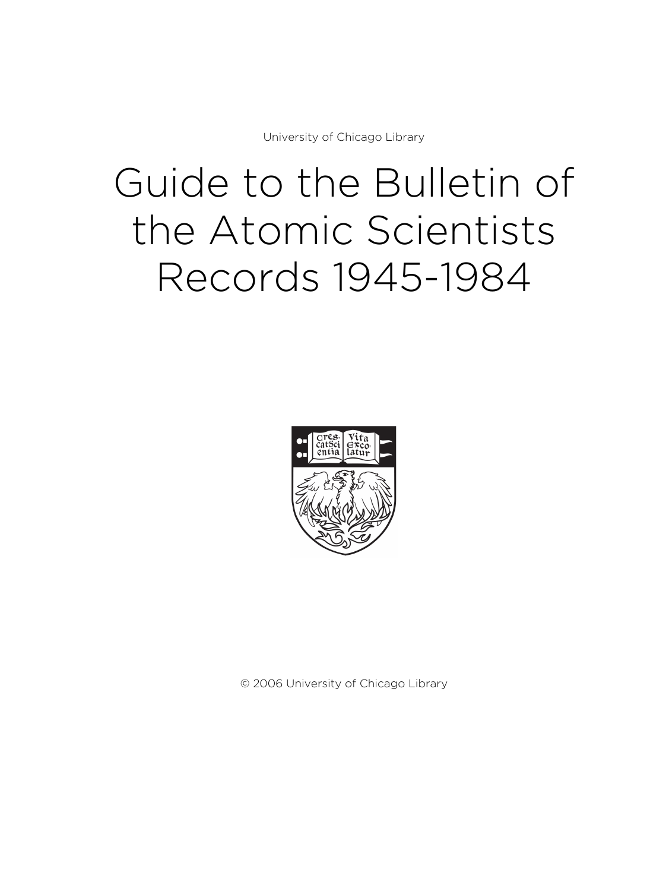University of Chicago Library

# Guide to the Bulletin of the Atomic Scientists Records 1945-1984



© 2006 University of Chicago Library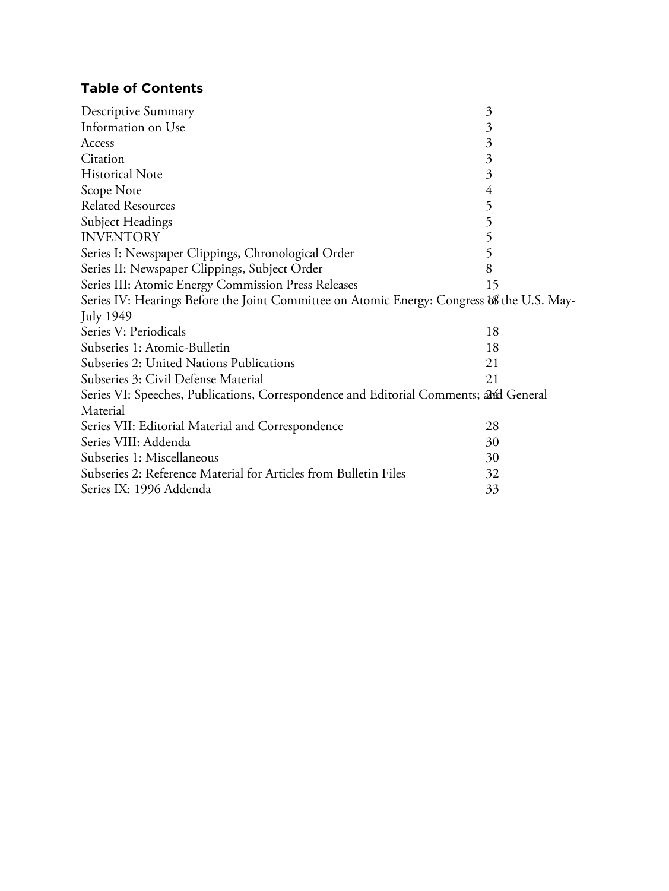# **Table of Contents**

| Descriptive Summary                                                                        | $\mathfrak{Z}$ |
|--------------------------------------------------------------------------------------------|----------------|
| Information on Use                                                                         | 3              |
| Access                                                                                     | $\mathfrak{Z}$ |
| Citation                                                                                   | $\mathfrak{Z}$ |
| <b>Historical Note</b>                                                                     | $\overline{3}$ |
| Scope Note                                                                                 | $\overline{4}$ |
| <b>Related Resources</b>                                                                   | 5              |
| <b>Subject Headings</b>                                                                    | 5              |
| <b>INVENTORY</b>                                                                           | 5              |
| Series I: Newspaper Clippings, Chronological Order                                         | 5              |
| Series II: Newspaper Clippings, Subject Order                                              | 8              |
| Series III: Atomic Energy Commission Press Releases                                        | 15             |
| Series IV: Hearings Before the Joint Committee on Atomic Energy: Congress b& the U.S. May- |                |
| <b>July 1949</b>                                                                           |                |
| Series V: Periodicals                                                                      | 18             |
| Subseries 1: Atomic-Bulletin                                                               | 18             |
| Subseries 2: United Nations Publications                                                   | 21             |
| Subseries 3: Civil Defense Material                                                        | 21             |
| Series VI: Speeches, Publications, Correspondence and Editorial Comments; and General      |                |
| Material                                                                                   |                |
| Series VII: Editorial Material and Correspondence                                          | 28             |
| Series VIII: Addenda                                                                       | 30             |
| Subseries 1: Miscellaneous                                                                 | 30             |
| Subseries 2: Reference Material for Articles from Bulletin Files                           | 32             |
| Series IX: 1996 Addenda                                                                    | 33             |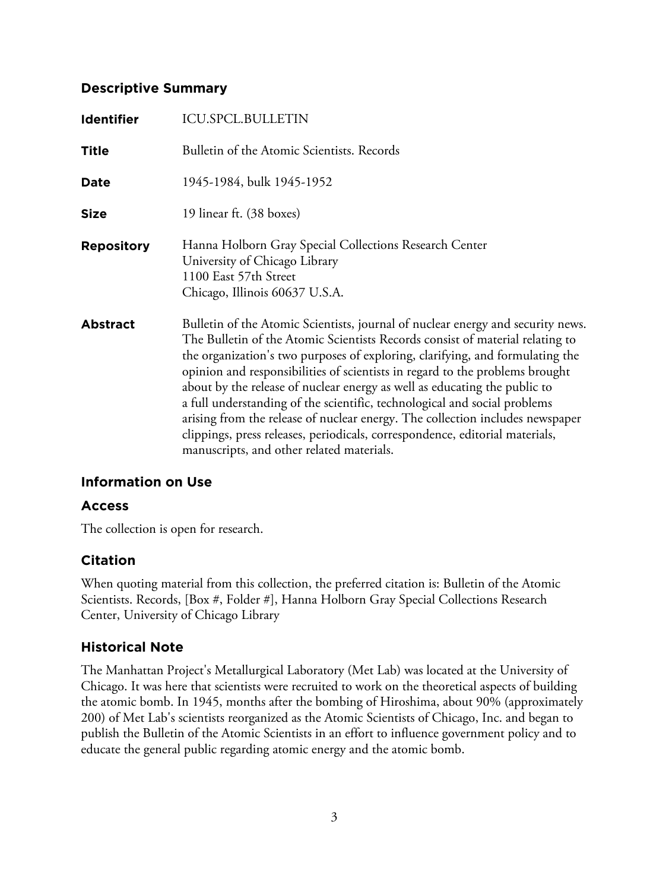# **Descriptive Summary**

| <b>Identifier</b> | <b>ICU.SPCL.BULLETIN</b>                                                                                                                                                                                                                                                                                                                                                                                                                                                                                                                                                                                                                                                                                  |
|-------------------|-----------------------------------------------------------------------------------------------------------------------------------------------------------------------------------------------------------------------------------------------------------------------------------------------------------------------------------------------------------------------------------------------------------------------------------------------------------------------------------------------------------------------------------------------------------------------------------------------------------------------------------------------------------------------------------------------------------|
| <b>Title</b>      | Bulletin of the Atomic Scientists. Records                                                                                                                                                                                                                                                                                                                                                                                                                                                                                                                                                                                                                                                                |
| Date              | 1945-1984, bulk 1945-1952                                                                                                                                                                                                                                                                                                                                                                                                                                                                                                                                                                                                                                                                                 |
| <b>Size</b>       | 19 linear ft. (38 boxes)                                                                                                                                                                                                                                                                                                                                                                                                                                                                                                                                                                                                                                                                                  |
| <b>Repository</b> | Hanna Holborn Gray Special Collections Research Center<br>University of Chicago Library<br>1100 East 57th Street<br>Chicago, Illinois 60637 U.S.A.                                                                                                                                                                                                                                                                                                                                                                                                                                                                                                                                                        |
| <b>Abstract</b>   | Bulletin of the Atomic Scientists, journal of nuclear energy and security news.<br>The Bulletin of the Atomic Scientists Records consist of material relating to<br>the organization's two purposes of exploring, clarifying, and formulating the<br>opinion and responsibilities of scientists in regard to the problems brought<br>about by the release of nuclear energy as well as educating the public to<br>a full understanding of the scientific, technological and social problems<br>arising from the release of nuclear energy. The collection includes newspaper<br>clippings, press releases, periodicals, correspondence, editorial materials,<br>manuscripts, and other related materials. |

# **Information on Use**

# **Access**

The collection is open for research.

# **Citation**

When quoting material from this collection, the preferred citation is: Bulletin of the Atomic Scientists. Records, [Box #, Folder #], Hanna Holborn Gray Special Collections Research Center, University of Chicago Library

# **Historical Note**

The Manhattan Project's Metallurgical Laboratory (Met Lab) was located at the University of Chicago. It was here that scientists were recruited to work on the theoretical aspects of building the atomic bomb. In 1945, months after the bombing of Hiroshima, about 90% (approximately 200) of Met Lab's scientists reorganized as the Atomic Scientists of Chicago, Inc. and began to publish the Bulletin of the Atomic Scientists in an effort to influence government policy and to educate the general public regarding atomic energy and the atomic bomb.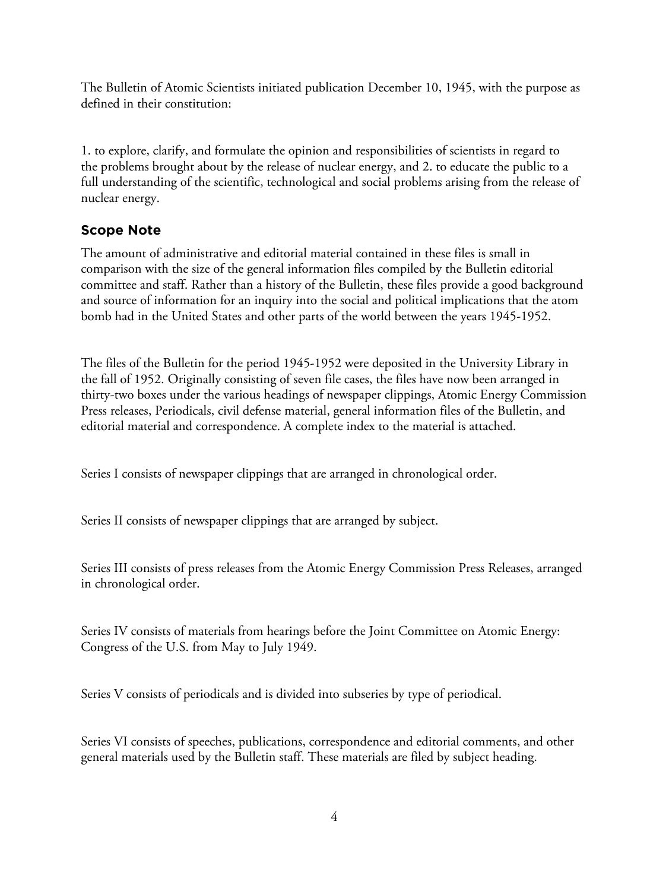The Bulletin of Atomic Scientists initiated publication December 10, 1945, with the purpose as defined in their constitution:

1. to explore, clarify, and formulate the opinion and responsibilities of scientists in regard to the problems brought about by the release of nuclear energy, and 2. to educate the public to a full understanding of the scientific, technological and social problems arising from the release of nuclear energy.

# **Scope Note**

The amount of administrative and editorial material contained in these files is small in comparison with the size of the general information files compiled by the Bulletin editorial committee and staff. Rather than a history of the Bulletin, these files provide a good background and source of information for an inquiry into the social and political implications that the atom bomb had in the United States and other parts of the world between the years 1945-1952.

The files of the Bulletin for the period 1945-1952 were deposited in the University Library in the fall of 1952. Originally consisting of seven file cases, the files have now been arranged in thirty-two boxes under the various headings of newspaper clippings, Atomic Energy Commission Press releases, Periodicals, civil defense material, general information files of the Bulletin, and editorial material and correspondence. A complete index to the material is attached.

Series I consists of newspaper clippings that are arranged in chronological order.

Series II consists of newspaper clippings that are arranged by subject.

Series III consists of press releases from the Atomic Energy Commission Press Releases, arranged in chronological order.

Series IV consists of materials from hearings before the Joint Committee on Atomic Energy: Congress of the U.S. from May to July 1949.

Series V consists of periodicals and is divided into subseries by type of periodical.

Series VI consists of speeches, publications, correspondence and editorial comments, and other general materials used by the Bulletin staff. These materials are filed by subject heading.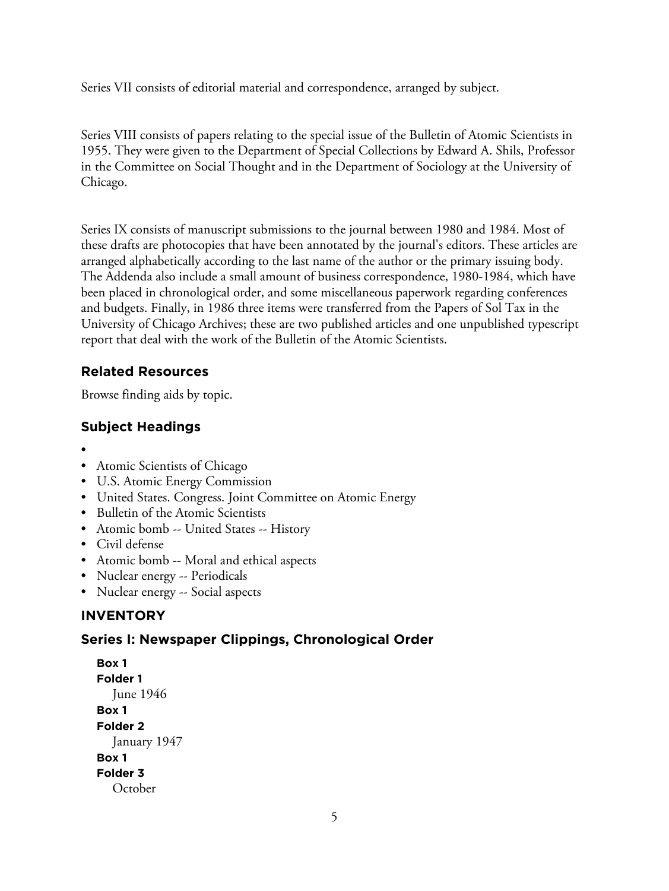Series VII consists of editorial material and correspondence, arranged by subject.

Series VIII consists of papers relating to the special issue of the Bulletin of Atomic Scientists in 1955. They were given to the Department of Special Collections by Edward A. Shils, Professor in the Committee on Social Thought and in the Department of Sociology at the University of Chicago.

Series IX consists of manuscript submissions to the journal between 1980 and 1984. Most of these drafts are photocopies that have been annotated by the journal's editors. These articles are arranged alphabetically according to the last name of the author or the primary issuing body. The Addenda also include a small amount of business correspondence, 1980-1984, which have been placed in chronological order, and some miscellaneous paperwork regarding conferences and budgets. Finally, in 1986 three items were transferred from the Papers of Sol Tax in the University of Chicago Archives; these are two published articles and one unpublished typescript report that deal with the work of the Bulletin of the Atomic Scientists.

# **Related Resources**

Browse finding aids by topic.

# **Subject Headings**

- •
- Atomic Scientists of Chicago
- U.S. Atomic Energy Commission
- United States. Congress. Joint Committee on Atomic Energy
- Bulletin of the Atomic Scientists
- Atomic bomb -- United States -- History
- Civil defense
- Atomic bomb -- Moral and ethical aspects
- Nuclear energy -- Periodicals
- Nuclear energy -- Social aspects

# **INVENTORY**

# **Series I: Newspaper Clippings, Chronological Order**

```
Box 1
Folder 1
  June 1946
Box 1
Folder 2
  January 1947
Box 1
Folder 3
  October
```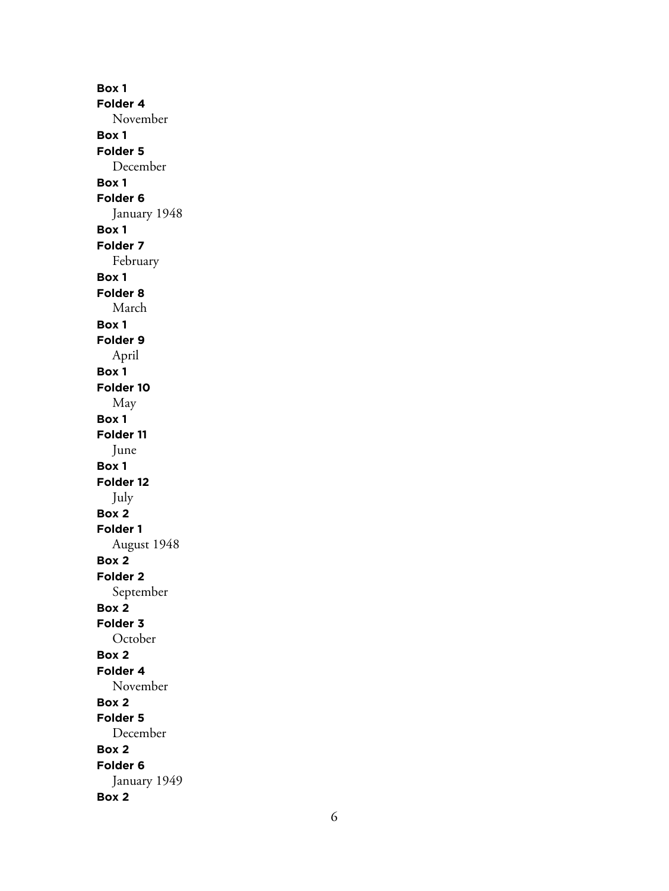**Box 1 Folder 4** November **Box 1 Folder 5** December **Box 1 Folder 6** January 1948 **Box 1 Folder 7** February **Box 1 Folder 8** March **Box 1 Folder 9** April **Box 1 Folder 10** May **Box 1 Folder 11** June **Box 1 Folder 12** July **Box 2 Folder 1** August 1948 **Box 2 Folder 2** September **Box 2 Folder 3 October Box 2 Folder 4** November **Box 2 Folder 5** December **Box 2 Folder 6** January 1949 **Box 2**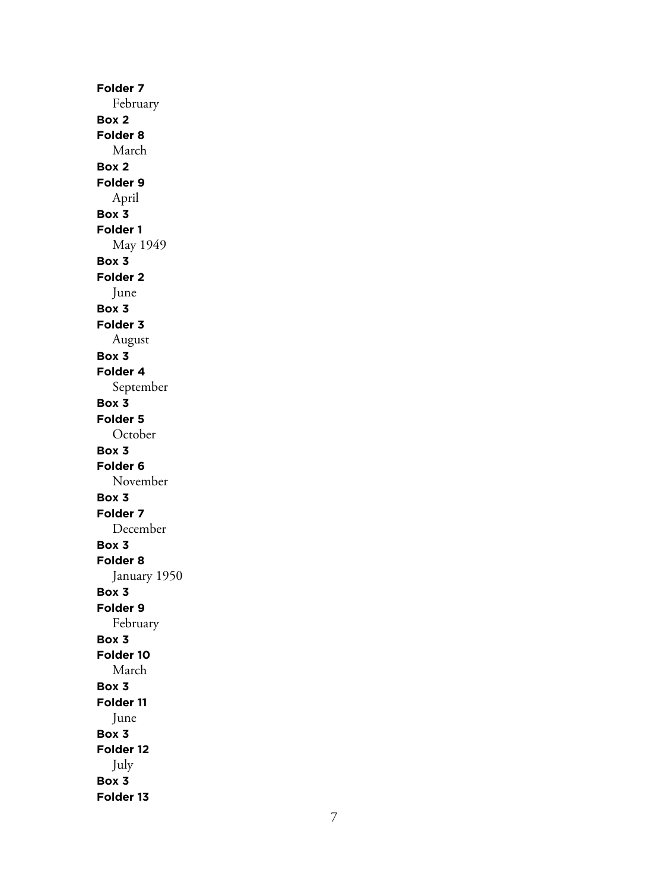**Folder 7** February **Box 2 Folder 8** March **Box 2 Folder 9** April **Box 3 Folder 1** May 1949 **Box 3 Folder 2** June **Box 3 Folder 3** August **Box 3 Folder 4** September **Box 3 Folder 5** October **Box 3 Folder 6** November **Box 3 Folder 7** December **Box 3 Folder 8** January 1950 **Box 3 Folder 9** February **Box 3 Folder 10** March **Box 3 Folder 11** June **Box 3 Folder 12** July **Box 3 Folder 13**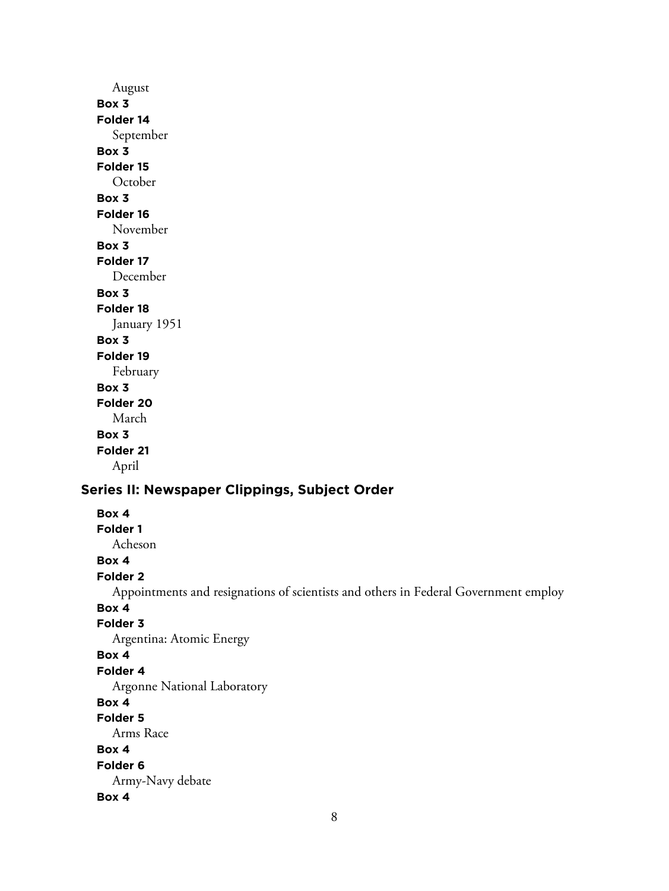# August **Box 3 Folder 14** September **Box 3 Folder 15 October Box 3 Folder 16** November **Box 3 Folder 17** December **Box 3 Folder 18** January 1951 **Box 3 Folder 19** February **Box 3 Folder 20** March **Box 3 Folder 21** April

# **Series II: Newspaper Clippings, Subject Order**

**Box 4 Folder 1** Acheson **Box 4 Folder 2** Appointments and resignations of scientists and others in Federal Government employ **Box 4 Folder 3** Argentina: Atomic Energy **Box 4 Folder 4** Argonne National Laboratory **Box 4 Folder 5** Arms Race **Box 4 Folder 6** Army-Navy debate **Box 4**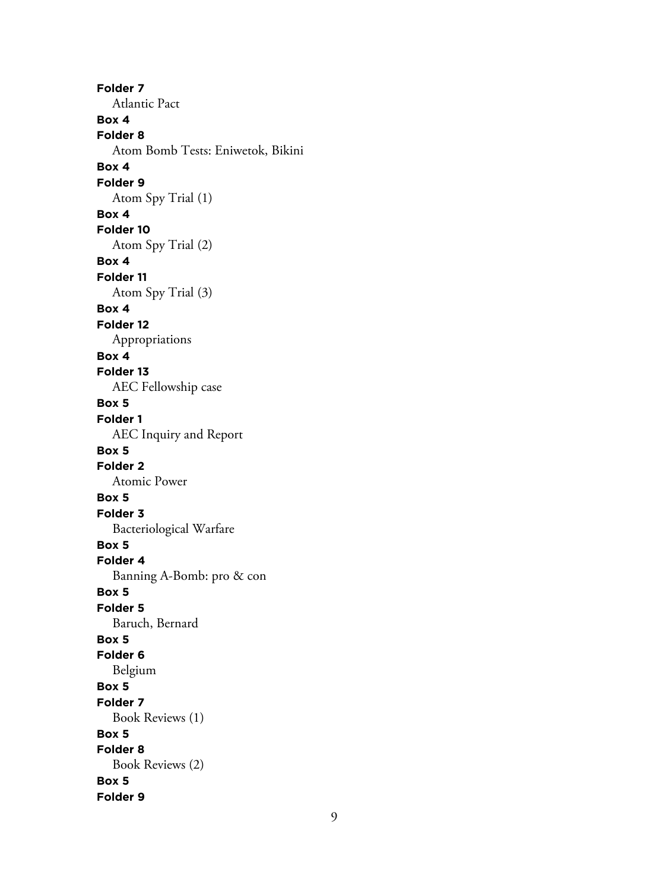**Folder 7** Atlantic Pact **Box 4 Folder 8** Atom Bomb Tests: Eniwetok, Bikini **Box 4 Folder 9** Atom Spy Trial (1) **Box 4 Folder 10** Atom Spy Trial (2) **Box 4 Folder 11** Atom Spy Trial (3) **Box 4 Folder 12** Appropriations **Box 4 Folder 13** AEC Fellowship case **Box 5 Folder 1** AEC Inquiry and Report **Box 5 Folder 2** Atomic Power **Box 5 Folder 3** Bacteriological Warfare **Box 5 Folder 4** Banning A-Bomb: pro & con **Box 5 Folder 5** Baruch, Bernard **Box 5 Folder 6** Belgium **Box 5 Folder 7** Book Reviews (1) **Box 5 Folder 8** Book Reviews (2) **Box 5 Folder 9**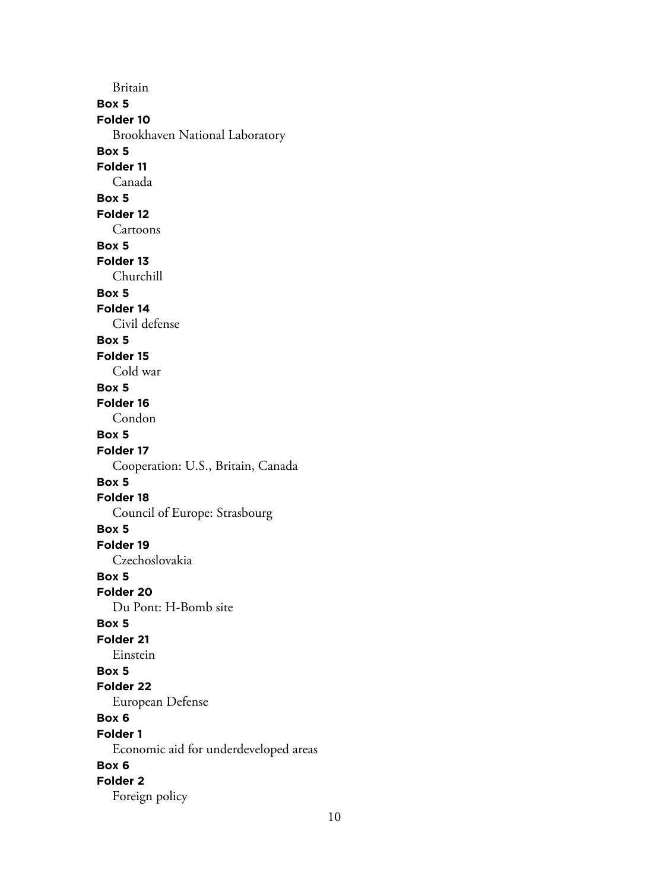Britain **Box 5 Folder 10** Brookhaven National Laboratory **Box 5 Folder 11** Canada **Box 5 Folder 12** Cartoons **Box 5 Folder 13** Churchill **Box 5 Folder 14** Civil defense **Box 5 Folder 15** Cold war **Box 5 Folder 16** Condon **Box 5 Folder 17** Cooperation: U.S., Britain, Canada **Box 5 Folder 18** Council of Europe: Strasbourg **Box 5 Folder 19** Czechoslovakia **Box 5 Folder 20** Du Pont: H-Bomb site **Box 5 Folder 21** Einstein **Box 5 Folder 22** European Defense **Box 6 Folder 1** Economic aid for underdeveloped areas **Box 6 Folder 2** Foreign policy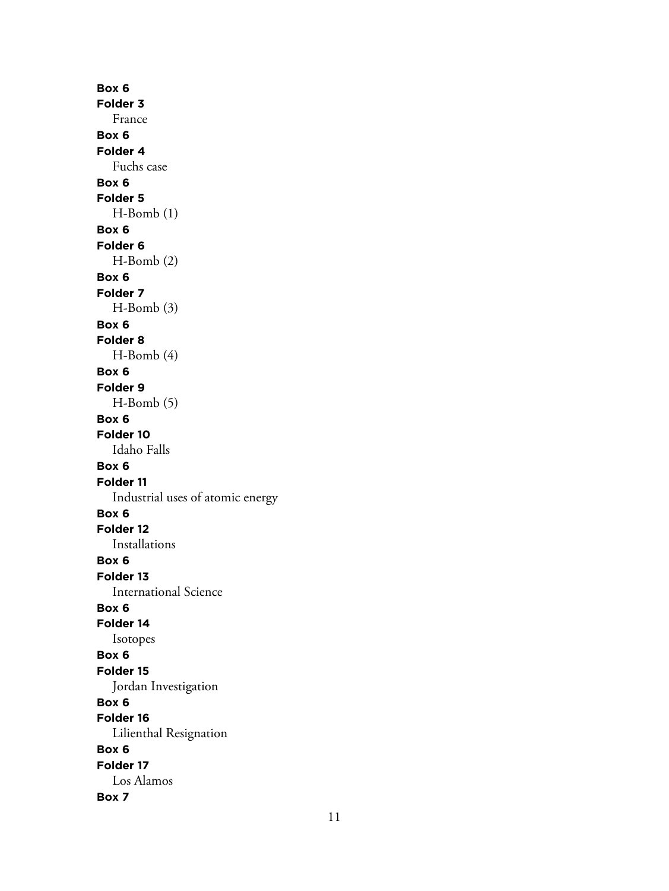**Box 6 Folder 3** France **Box 6 Folder 4** Fuchs case **Box 6 Folder 5** H-Bomb (1) **Box 6 Folder 6** H-Bomb (2) **Box 6 Folder 7** H-Bomb (3) **Box 6 Folder 8** H-Bomb (4) **Box 6 Folder 9** H-Bomb (5) **Box 6 Folder 10** Idaho Falls **Box 6 Folder 11** Industrial uses of atomic energy **Box 6 Folder 12** Installations **Box 6 Folder 13** International Science **Box 6 Folder 14** Isotopes **Box 6 Folder 15** Jordan Investigation **Box 6 Folder 16** Lilienthal Resignation **Box 6 Folder 17** Los Alamos **Box 7**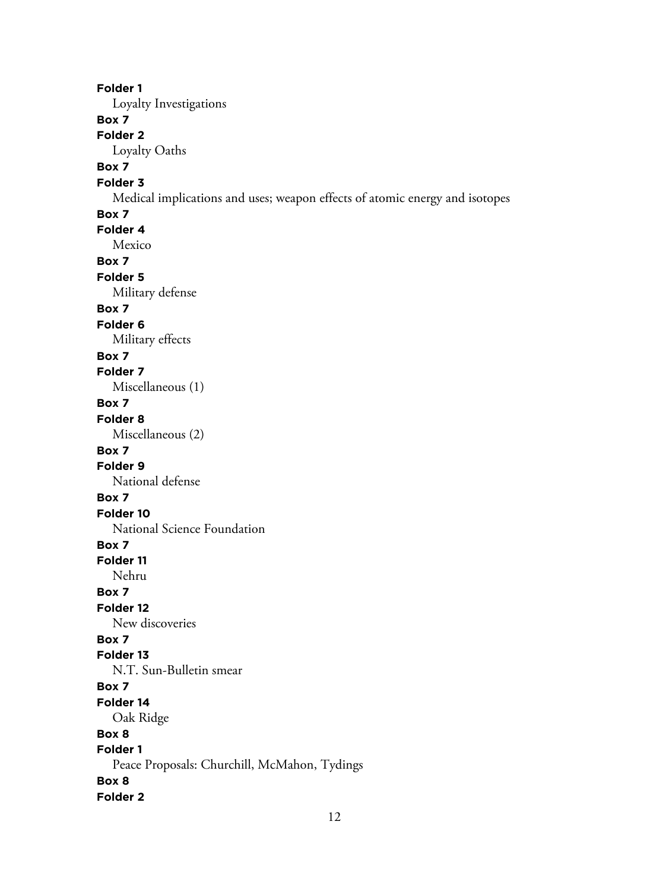**Folder 1** Loyalty Investigations **Box 7 Folder 2** Loyalty Oaths **Box 7 Folder 3** Medical implications and uses; weapon effects of atomic energy and isotopes **Box 7 Folder 4** Mexico **Box 7 Folder 5** Military defense **Box 7 Folder 6** Military effects **Box 7 Folder 7** Miscellaneous (1) **Box 7 Folder 8** Miscellaneous (2) **Box 7 Folder 9** National defense **Box 7 Folder 10** National Science Foundation **Box 7 Folder 11** Nehru **Box 7 Folder 12** New discoveries **Box 7 Folder 13** N.T. Sun-Bulletin smear **Box 7 Folder 14** Oak Ridge **Box 8 Folder 1** Peace Proposals: Churchill, McMahon, Tydings **Box 8 Folder 2**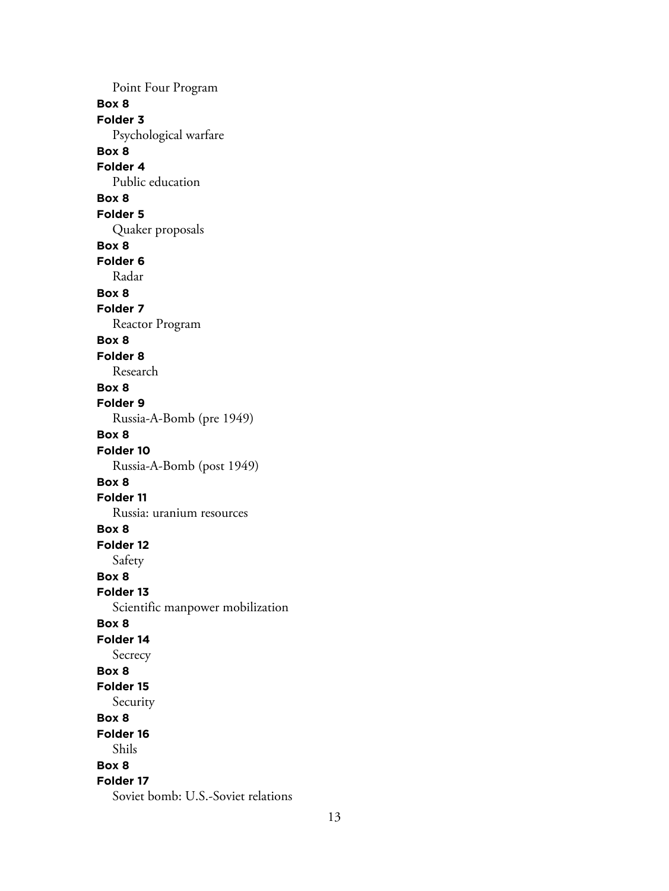Point Four Program **Box 8 Folder 3** Psychological warfare **Box 8 Folder 4** Public education **Box 8 Folder 5** Quaker proposals **Box 8 Folder 6** Radar **Box 8 Folder 7** Reactor Program **Box 8 Folder 8** Research **Box 8 Folder 9** Russia-A-Bomb (pre 1949) **Box 8 Folder 10** Russia-A-Bomb (post 1949) **Box 8 Folder 11** Russia: uranium resources **Box 8 Folder 12** Safety **Box 8 Folder 13** Scientific manpower mobilization **Box 8 Folder 14** Secrecy **Box 8 Folder 15** Security **Box 8 Folder 16** Shils **Box 8 Folder 17** Soviet bomb: U.S.-Soviet relations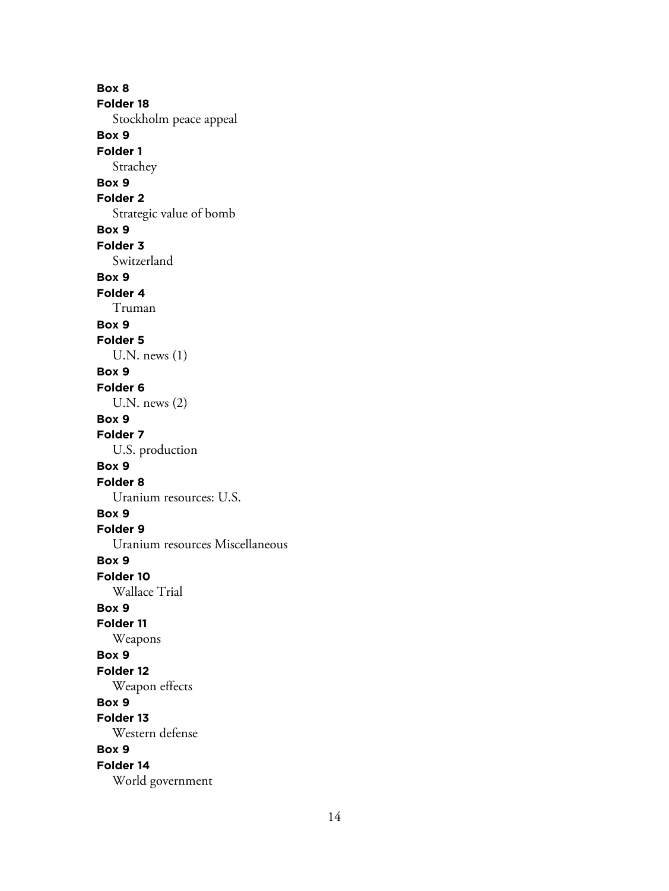**Box 8 Folder 18** Stockholm peace appeal **Box 9 Folder 1** Strachey **Box 9 Folder 2** Strategic value of bomb **Box 9 Folder 3** Switzerland **Box 9 Folder 4** Truman **Box 9 Folder 5** U.N. news (1) **Box 9 Folder 6** U.N. news (2) **Box 9 Folder 7** U.S. production **Box 9 Folder 8** Uranium resources: U.S. **Box 9 Folder 9** Uranium resources Miscellaneous **Box 9 Folder 10** Wallace Trial **Box 9 Folder 11** Weapons **Box 9 Folder 12** Weapon effects **Box 9 Folder 13** Western defense **Box 9 Folder 14** World government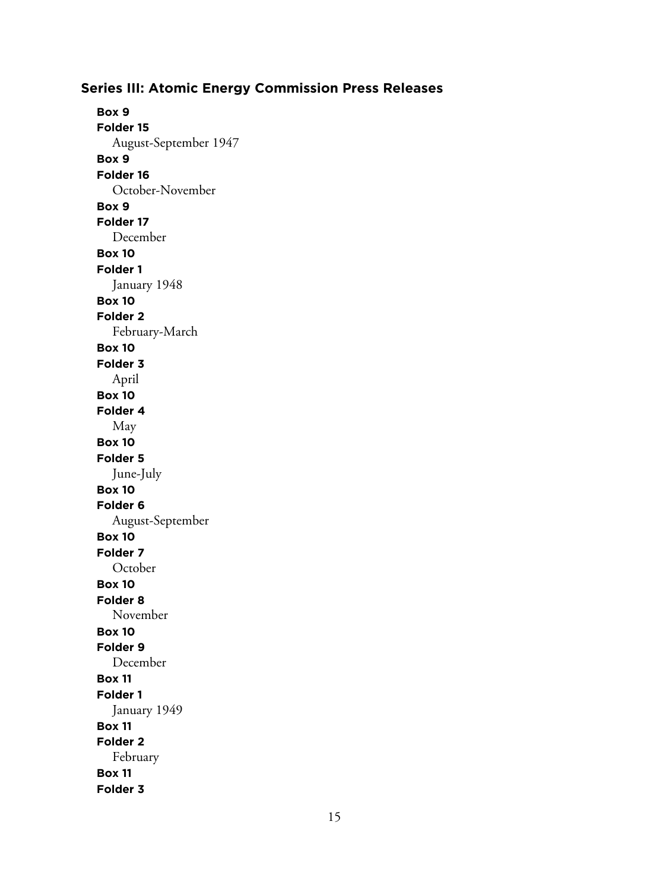**Box 9 Folder 15** August-September 1947 **Box 9 Folder 16** October-November **Box 9 Folder 17** December **Box 10 Folder 1** January 1948 **Box 10 Folder 2** February-March **Box 10 Folder 3** April **Box 10 Folder 4** May **Box 10 Folder 5** June-July **Box 10 Folder 6** August-September **Box 10 Folder 7 October Box 10 Folder 8** November **Box 10 Folder 9** December **Box 11 Folder 1** January 1949 **Box 11 Folder 2** February **Box 11 Folder 3**

## **Series III: Atomic Energy Commission Press Releases**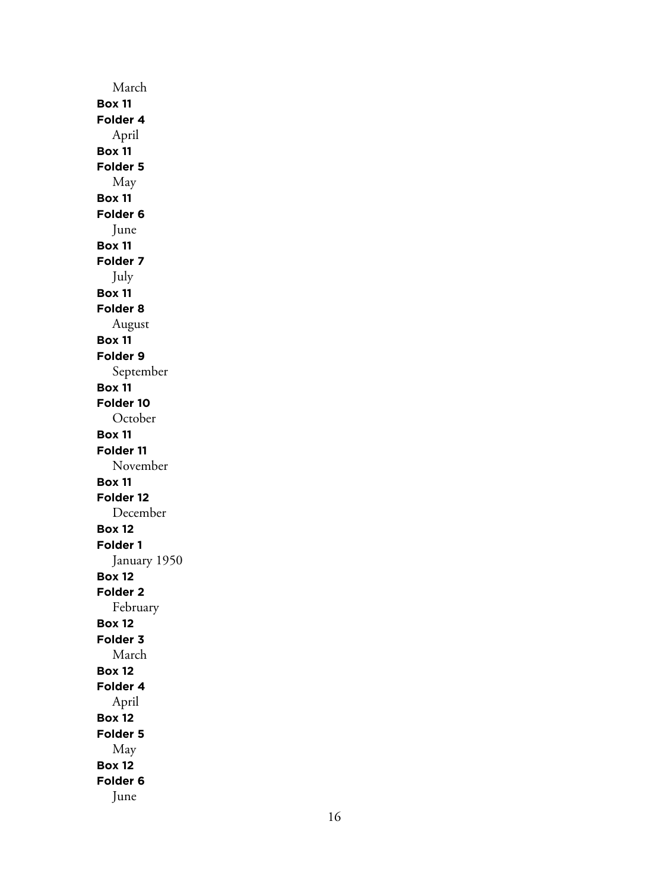March **Box 11 Folder 4** April **Box 11 Folder 5** May **Box 11 Folder 6** June **Box 11 Folder 7** July **Box 11 Folder 8** August **Box 11 Folder 9** September **Box 11 Folder 10** October **Box 11 Folder 11** November **Box 11 Folder 12** December **Box 12 Folder 1** January 1950 **Box 12 Folder 2** February **Box 12 Folder 3** March **Box 12 Folder 4** April **Box 12 Folder 5** May **Box 12 Folder 6** June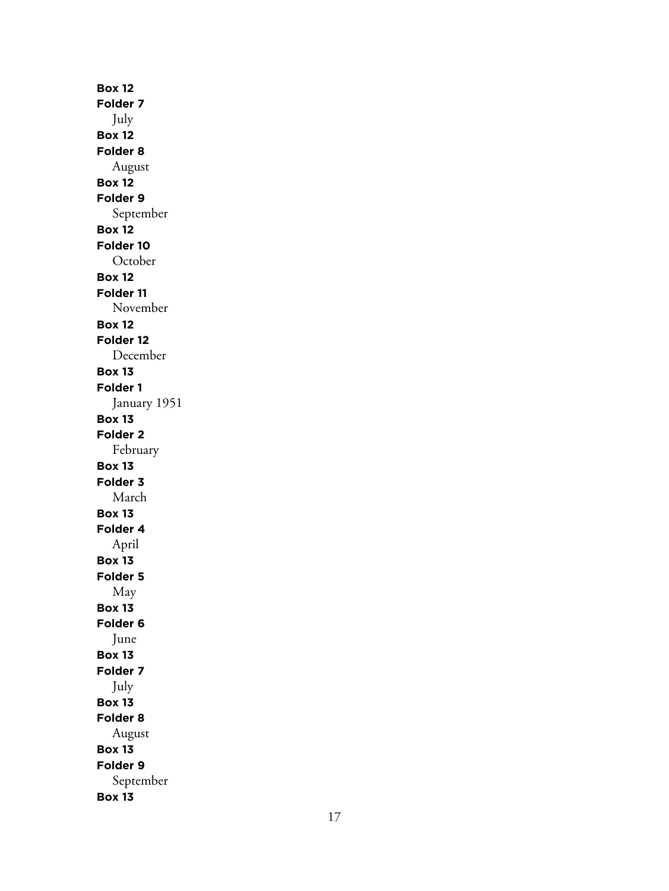**Box 12 Folder 7** July **Box 12 Folder 8** August **Box 12 Folder 9** September **Box 12 Folder 10 October Box 12 Folder 11** November **Box 12 Folder 12** December **Box 13 Folder 1** January 1951 **Box 13 Folder 2** February **Box 13 Folder 3** March **Box 13 Folder 4** April **Box 13 Folder 5** May **Box 13 Folder 6** June **Box 13 Folder 7** July **Box 13 Folder 8** August **Box 13 Folder 9** September **Box 13**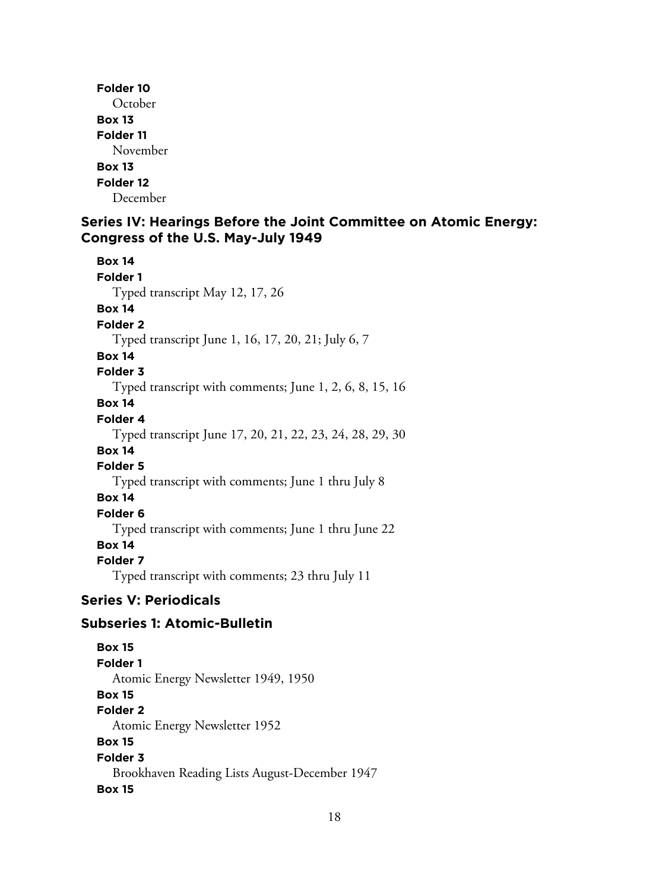**Folder 10 October Box 13 Folder 11** November **Box 13 Folder 12** December

## **Series IV: Hearings Before the Joint Committee on Atomic Energy: Congress of the U.S. May-July 1949**

**Box 14 Folder 1** Typed transcript May 12, 17, 26 **Box 14 Folder 2** Typed transcript June 1, 16, 17, 20, 21; July 6, 7 **Box 14 Folder 3** Typed transcript with comments; June 1, 2, 6, 8, 15, 16 **Box 14 Folder 4** Typed transcript June 17, 20, 21, 22, 23, 24, 28, 29, 30 **Box 14 Folder 5** Typed transcript with comments; June 1 thru July 8 **Box 14 Folder 6** Typed transcript with comments; June 1 thru June 22 **Box 14 Folder 7** Typed transcript with comments; 23 thru July 11

# **Series V: Periodicals**

## **Subseries 1: Atomic-Bulletin**

**Box 15 Folder 1** Atomic Energy Newsletter 1949, 1950 **Box 15 Folder 2** Atomic Energy Newsletter 1952 **Box 15 Folder 3** Brookhaven Reading Lists August-December 1947 **Box 15**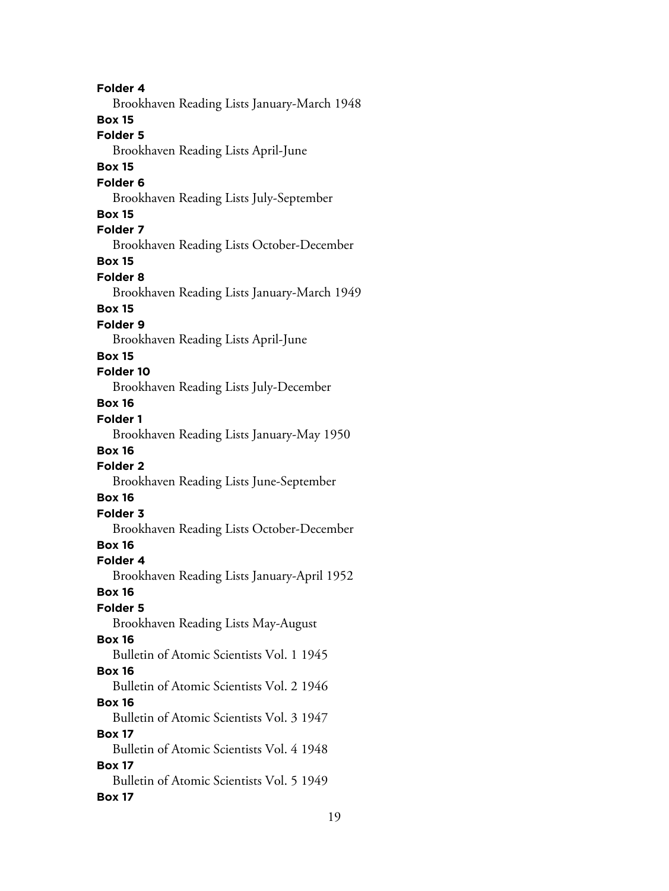**Folder 4** Brookhaven Reading Lists January-March 1948 **Box 15 Folder 5** Brookhaven Reading Lists April-June **Box 15 Folder 6** Brookhaven Reading Lists July-September **Box 15 Folder 7** Brookhaven Reading Lists October-December **Box 15 Folder 8** Brookhaven Reading Lists January-March 1949 **Box 15 Folder 9** Brookhaven Reading Lists April-June **Box 15 Folder 10** Brookhaven Reading Lists July-December **Box 16 Folder 1** Brookhaven Reading Lists January-May 1950 **Box 16 Folder 2** Brookhaven Reading Lists June-September **Box 16 Folder 3** Brookhaven Reading Lists October-December **Box 16 Folder 4** Brookhaven Reading Lists January-April 1952 **Box 16 Folder 5** Brookhaven Reading Lists May-August **Box 16** Bulletin of Atomic Scientists Vol. 1 1945 **Box 16** Bulletin of Atomic Scientists Vol. 2 1946 **Box 16** Bulletin of Atomic Scientists Vol. 3 1947 **Box 17** Bulletin of Atomic Scientists Vol. 4 1948 **Box 17** Bulletin of Atomic Scientists Vol. 5 1949 **Box 17**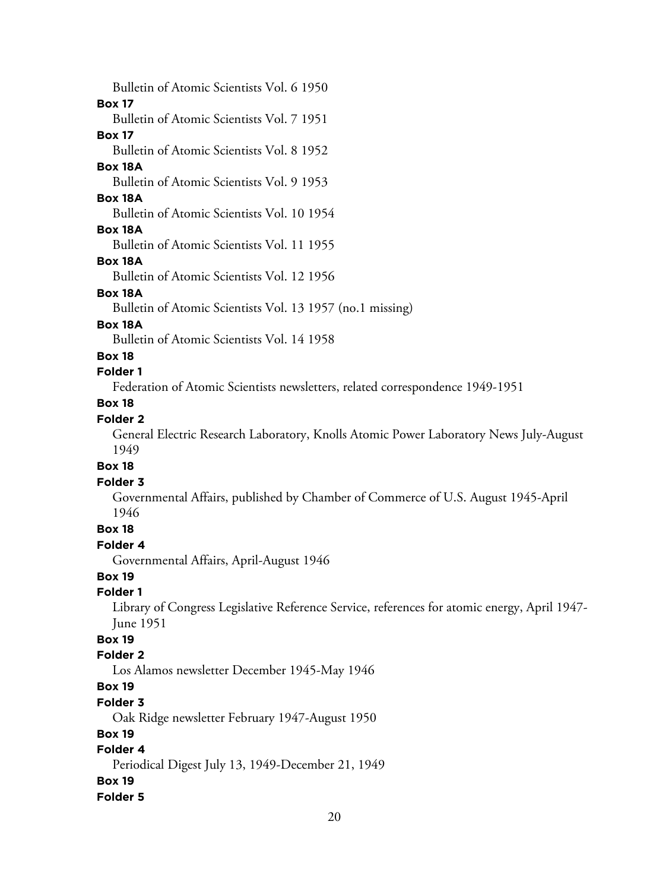20 Bulletin of Atomic Scientists Vol. 6 1950 **Box 17** Bulletin of Atomic Scientists Vol. 7 1951 **Box 17** Bulletin of Atomic Scientists Vol. 8 1952 **Box 18A** Bulletin of Atomic Scientists Vol. 9 1953 **Box 18A** Bulletin of Atomic Scientists Vol. 10 1954 **Box 18A** Bulletin of Atomic Scientists Vol. 11 1955 **Box 18A** Bulletin of Atomic Scientists Vol. 12 1956 **Box 18A** Bulletin of Atomic Scientists Vol. 13 1957 (no.1 missing) **Box 18A** Bulletin of Atomic Scientists Vol. 14 1958 **Box 18 Folder 1** Federation of Atomic Scientists newsletters, related correspondence 1949-1951 **Box 18 Folder 2** General Electric Research Laboratory, Knolls Atomic Power Laboratory News July-August 1949 **Box 18 Folder 3** Governmental Affairs, published by Chamber of Commerce of U.S. August 1945-April 1946 **Box 18 Folder 4** Governmental Affairs, April-August 1946 **Box 19 Folder 1** Library of Congress Legislative Reference Service, references for atomic energy, April 1947- June 1951 **Box 19 Folder 2** Los Alamos newsletter December 1945-May 1946 **Box 19 Folder 3** Oak Ridge newsletter February 1947-August 1950 **Box 19 Folder 4** Periodical Digest July 13, 1949-December 21, 1949 **Box 19 Folder 5**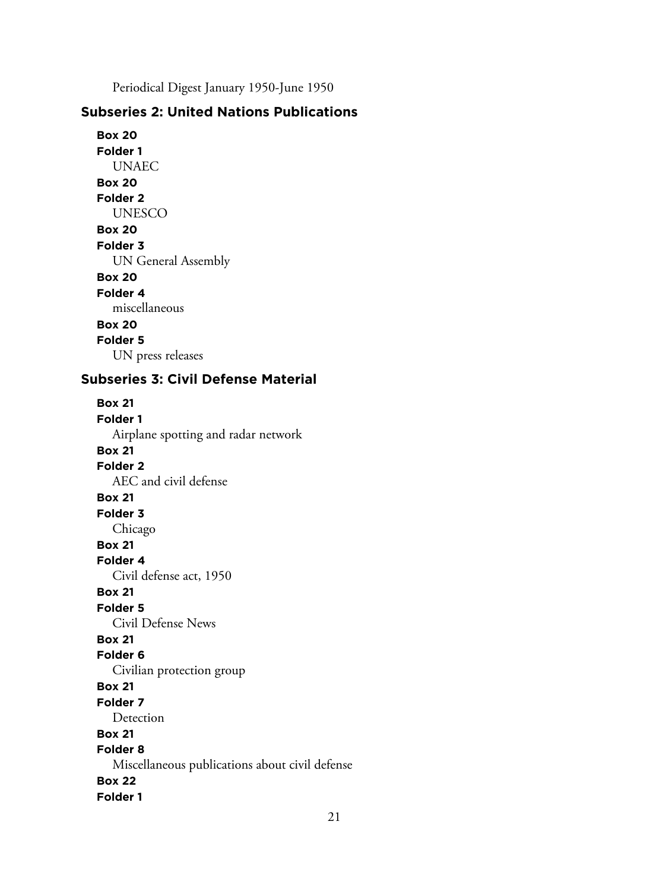Periodical Digest January 1950-June 1950

# **Subseries 2: United Nations Publications**

**Box 20 Folder 1** UNAEC **Box 20 Folder 2** UNESCO **Box 20 Folder 3** UN General Assembly **Box 20 Folder 4** miscellaneous **Box 20 Folder 5** UN press releases

# **Subseries 3: Civil Defense Material**

**Box 21 Folder 1** Airplane spotting and radar network **Box 21 Folder 2** AEC and civil defense **Box 21 Folder 3** Chicago **Box 21 Folder 4** Civil defense act, 1950 **Box 21 Folder 5** Civil Defense News **Box 21 Folder 6** Civilian protection group **Box 21 Folder 7** Detection **Box 21 Folder 8** Miscellaneous publications about civil defense **Box 22 Folder 1**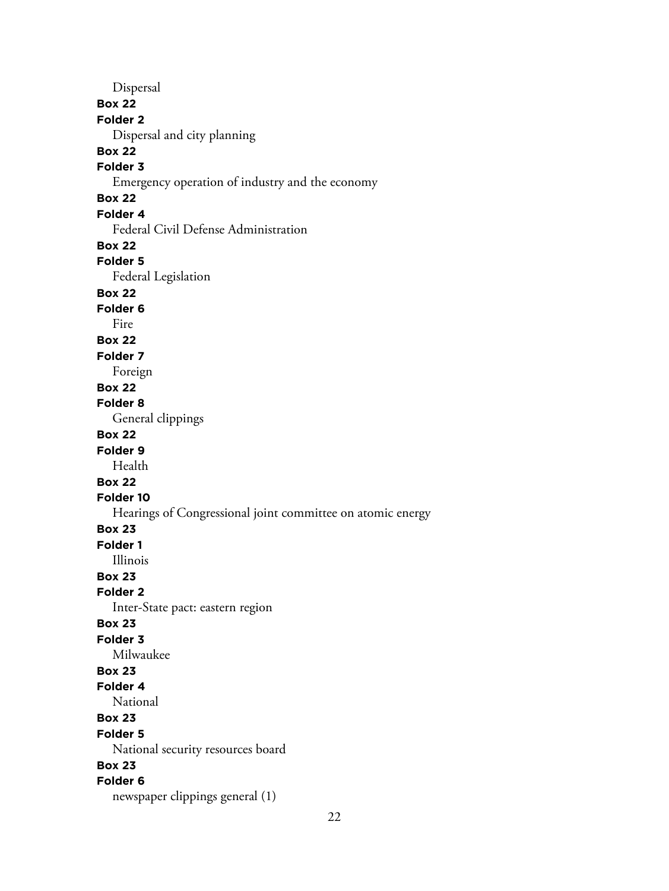Dispersal **Box 22 Folder 2** Dispersal and city planning **Box 22 Folder 3** Emergency operation of industry and the economy **Box 22 Folder 4** Federal Civil Defense Administration **Box 22 Folder 5** Federal Legislation **Box 22 Folder 6** Fire **Box 22 Folder 7** Foreign **Box 22 Folder 8** General clippings **Box 22 Folder 9** Health **Box 22 Folder 10** Hearings of Congressional joint committee on atomic energy **Box 23 Folder 1** Illinois **Box 23 Folder 2** Inter-State pact: eastern region **Box 23 Folder 3** Milwaukee **Box 23 Folder 4** National **Box 23 Folder 5** National security resources board **Box 23 Folder 6** newspaper clippings general (1)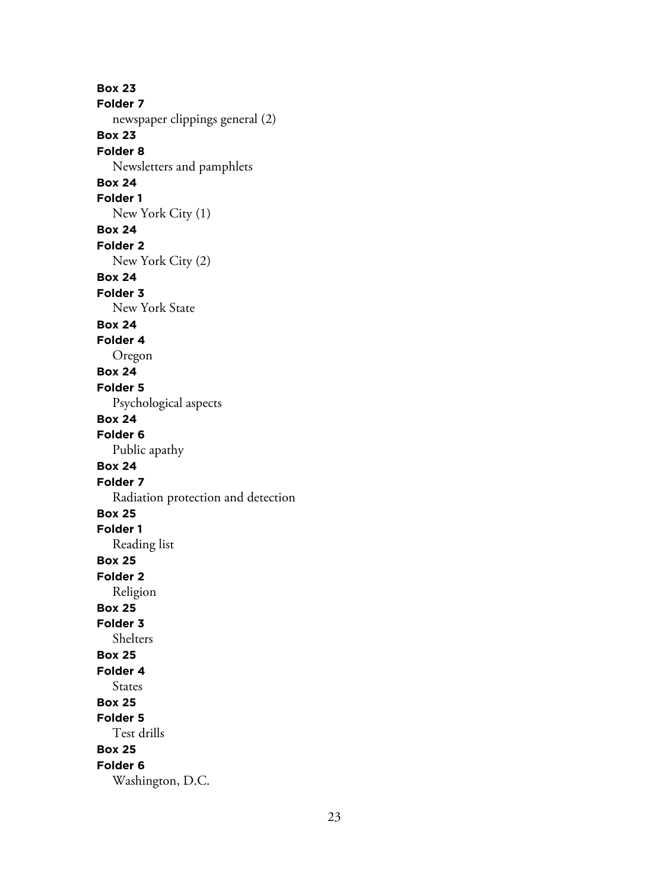**Box 23 Folder 7** newspaper clippings general (2) **Box 23 Folder 8** Newsletters and pamphlets **Box 24 Folder 1** New York City (1) **Box 24 Folder 2** New York City (2) **Box 24 Folder 3** New York State **Box 24 Folder 4** Oregon **Box 24 Folder 5** Psychological aspects **Box 24 Folder 6** Public apathy **Box 24 Folder 7** Radiation protection and detection **Box 25 Folder 1** Reading list **Box 25 Folder 2** Religion **Box 25 Folder 3** Shelters **Box 25 Folder 4** States **Box 25 Folder 5** Test drills **Box 25 Folder 6** Washington, D.C.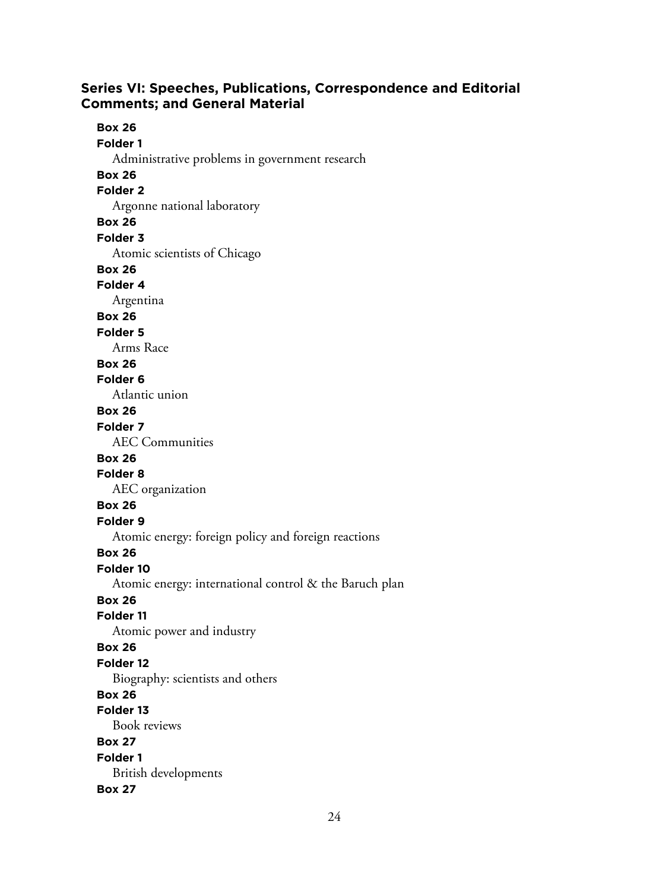## **Series VI: Speeches, Publications, Correspondence and Editorial Comments; and General Material**

**Box 26 Folder 1** Administrative problems in government research **Box 26 Folder 2** Argonne national laboratory **Box 26 Folder 3** Atomic scientists of Chicago **Box 26 Folder 4** Argentina **Box 26 Folder 5** Arms Race **Box 26 Folder 6** Atlantic union **Box 26 Folder 7** AEC Communities **Box 26 Folder 8** AEC organization **Box 26 Folder 9** Atomic energy: foreign policy and foreign reactions **Box 26 Folder 10** Atomic energy: international control & the Baruch plan **Box 26 Folder 11** Atomic power and industry **Box 26 Folder 12** Biography: scientists and others **Box 26 Folder 13** Book reviews **Box 27 Folder 1** British developments **Box 27**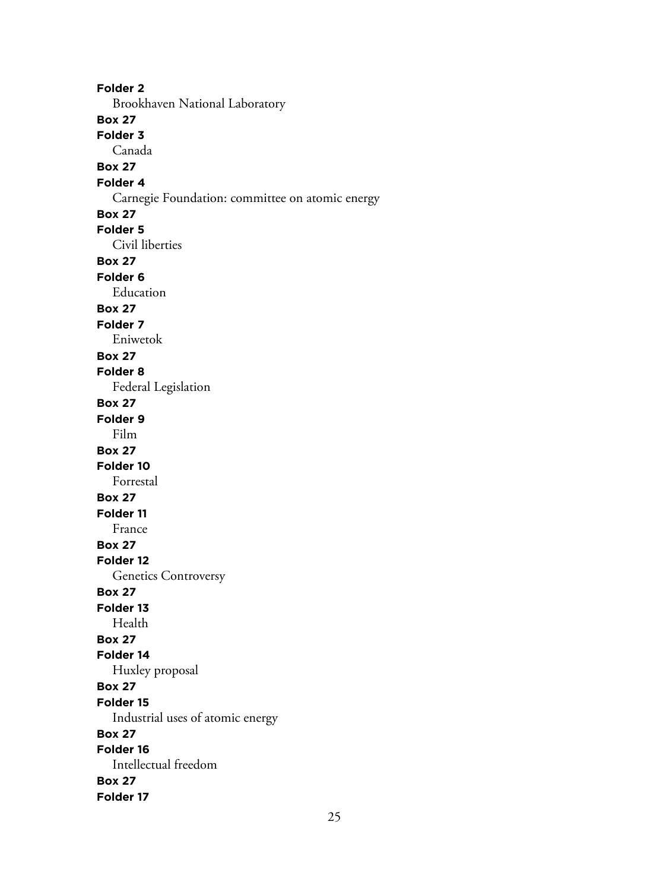**Folder 2** Brookhaven National Laboratory **Box 27 Folder 3** Canada **Box 27 Folder 4** Carnegie Foundation: committee on atomic energy **Box 27 Folder 5** Civil liberties **Box 27 Folder 6** Education **Box 27 Folder 7** Eniwetok **Box 27 Folder 8** Federal Legislation **Box 27 Folder 9** Film **Box 27 Folder 10** Forrestal **Box 27 Folder 11** France **Box 27 Folder 12** Genetics Controversy **Box 27 Folder 13** Health **Box 27 Folder 14** Huxley proposal **Box 27 Folder 15** Industrial uses of atomic energy **Box 27 Folder 16** Intellectual freedom **Box 27 Folder 17**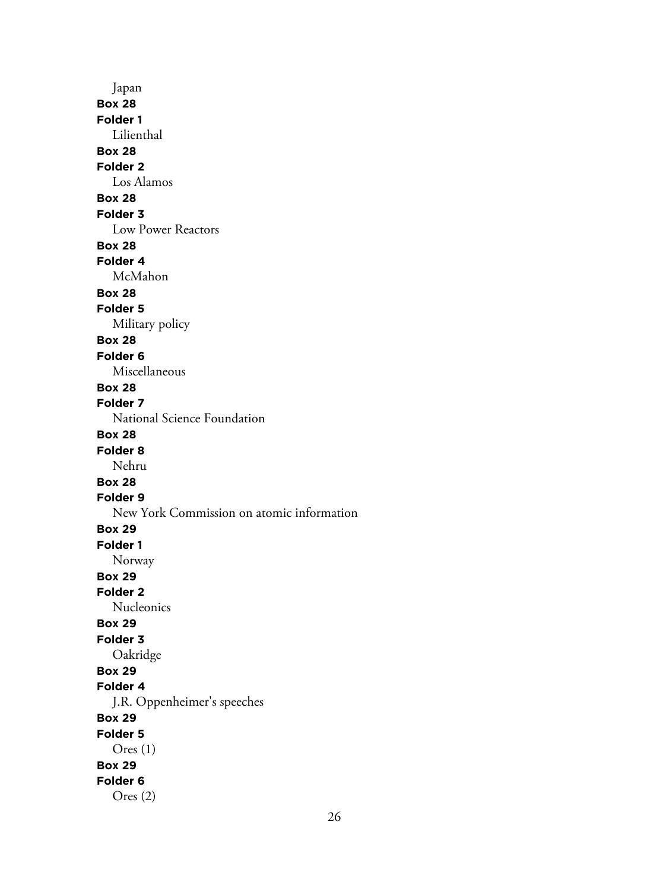Japan **Box 28 Folder 1** Lilienthal **Box 28 Folder 2** Los Alamos **Box 28 Folder 3** Low Power Reactors **Box 28 Folder 4** McMahon **Box 28 Folder 5** Military policy **Box 28 Folder 6** Miscellaneous **Box 28 Folder 7** National Science Foundation **Box 28 Folder 8** Nehru **Box 28 Folder 9** New York Commission on atomic information **Box 29 Folder 1** Norway **Box 29 Folder 2** Nucleonics **Box 29 Folder 3** Oakridge **Box 29 Folder 4** J.R. Oppenheimer's speeches **Box 29 Folder 5** Ores (1) **Box 29 Folder 6** Ores (2)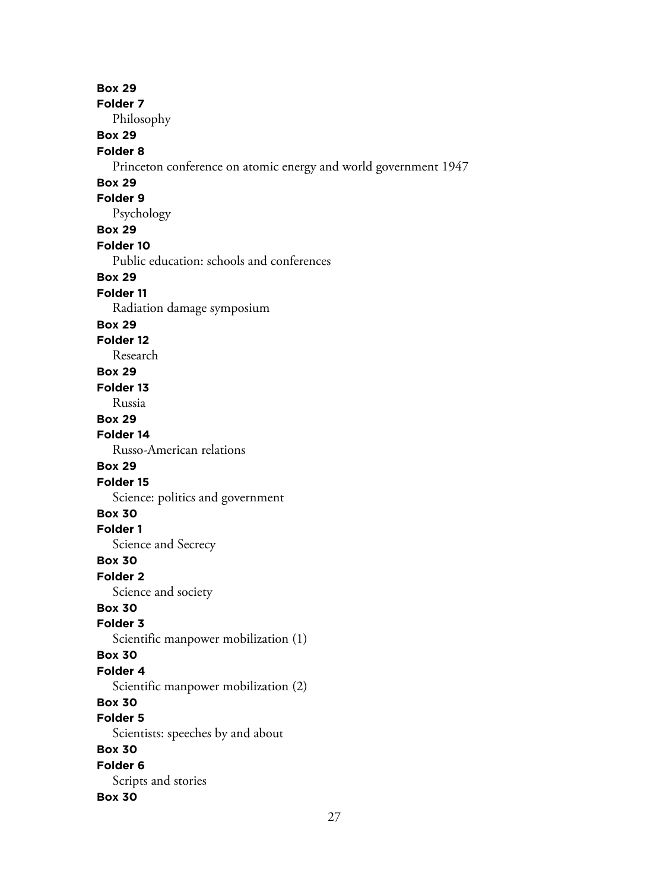**Box 29 Folder 7** Philosophy **Box 29 Folder 8** Princeton conference on atomic energy and world government 1947 **Box 29 Folder 9** Psychology **Box 29 Folder 10** Public education: schools and conferences **Box 29 Folder 11** Radiation damage symposium **Box 29 Folder 12** Research **Box 29 Folder 13** Russia **Box 29 Folder 14** Russo-American relations **Box 29 Folder 15** Science: politics and government **Box 30 Folder 1** Science and Secrecy **Box 30 Folder 2** Science and society **Box 30 Folder 3** Scientific manpower mobilization (1) **Box 30 Folder 4** Scientific manpower mobilization (2) **Box 30 Folder 5** Scientists: speeches by and about **Box 30 Folder 6** Scripts and stories **Box 30**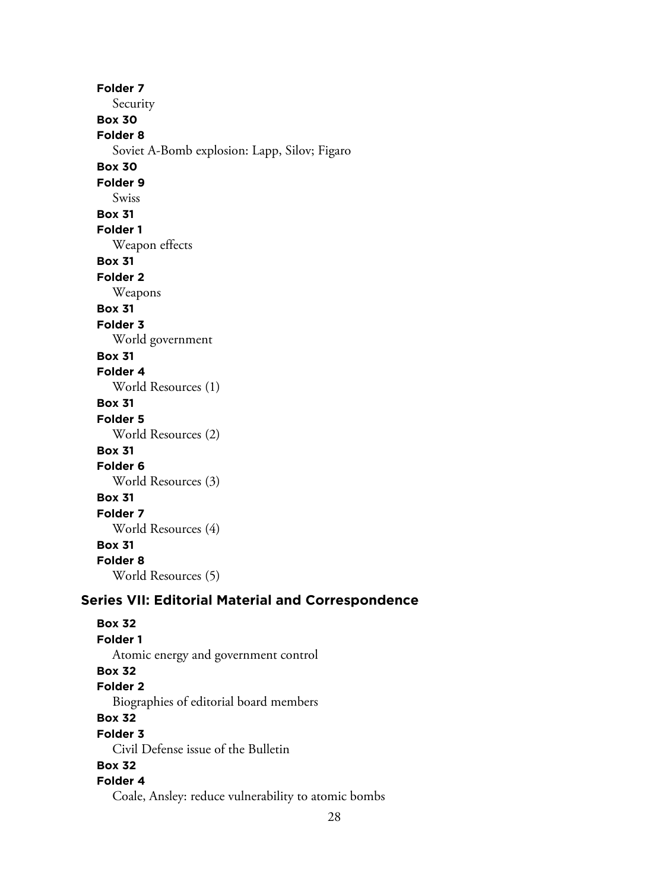**Folder 7** Security **Box 30 Folder 8** Soviet A-Bomb explosion: Lapp, Silov; Figaro **Box 30 Folder 9** Swiss **Box 31 Folder 1** Weapon effects **Box 31 Folder 2** Weapons **Box 31 Folder 3** World government **Box 31 Folder 4** World Resources (1) **Box 31 Folder 5** World Resources (2) **Box 31 Folder 6** World Resources (3) **Box 31 Folder 7** World Resources (4) **Box 31 Folder 8** World Resources (5)

# **Series VII: Editorial Material and Correspondence**

**Box 32 Folder 1** Atomic energy and government control **Box 32 Folder 2** Biographies of editorial board members **Box 32 Folder 3** Civil Defense issue of the Bulletin **Box 32 Folder 4** Coale, Ansley: reduce vulnerability to atomic bombs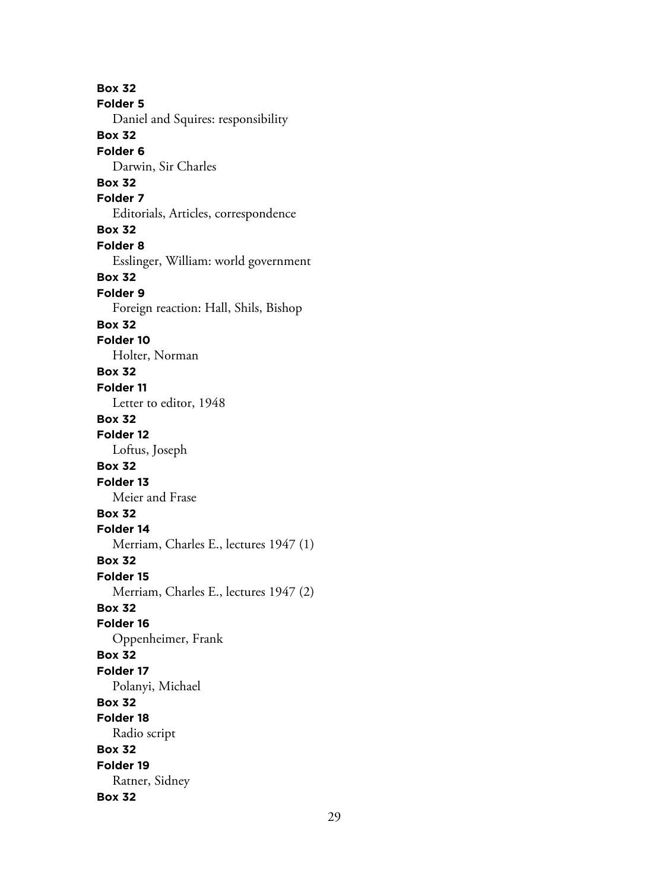**Box 32 Folder 5** Daniel and Squires: responsibility **Box 32 Folder 6** Darwin, Sir Charles **Box 32 Folder 7** Editorials, Articles, correspondence **Box 32 Folder 8** Esslinger, William: world government **Box 32 Folder 9** Foreign reaction: Hall, Shils, Bishop **Box 32 Folder 10** Holter, Norman **Box 32 Folder 11** Letter to editor, 1948 **Box 32 Folder 12** Loftus, Joseph **Box 32 Folder 13** Meier and Frase **Box 32 Folder 14** Merriam, Charles E., lectures 1947 (1) **Box 32 Folder 15** Merriam, Charles E., lectures 1947 (2) **Box 32 Folder 16** Oppenheimer, Frank **Box 32 Folder 17** Polanyi, Michael **Box 32 Folder 18** Radio script **Box 32 Folder 19** Ratner, Sidney **Box 32**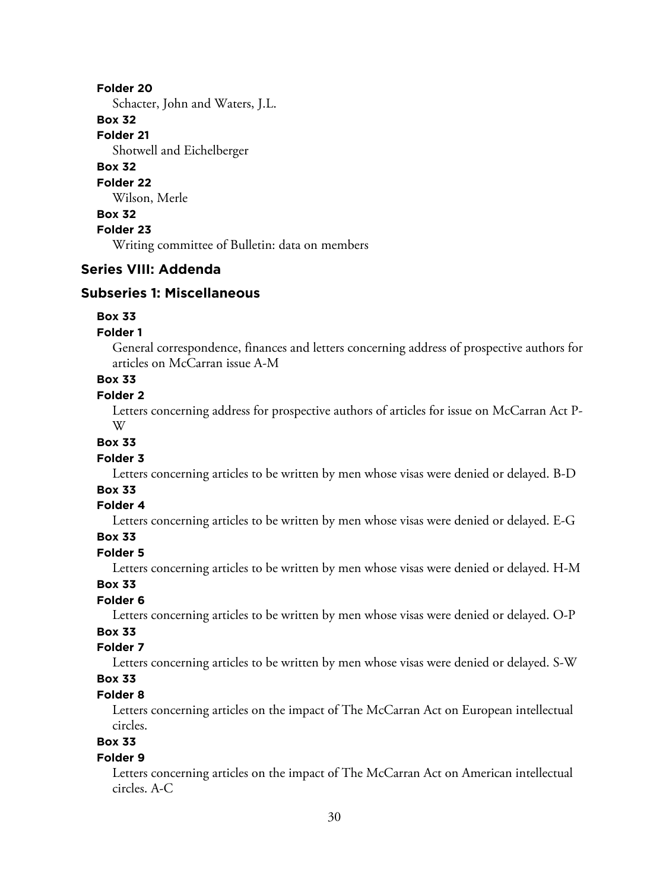#### **Folder 20**

Schacter, John and Waters, J.L.

#### **Box 32**

**Folder 21**

Shotwell and Eichelberger

# **Box 32**

#### **Folder 22**

Wilson, Merle

# **Box 32**

**Folder 23**

Writing committee of Bulletin: data on members

# **Series VIII: Addenda**

## **Subseries 1: Miscellaneous**

#### **Box 33**

#### **Folder 1**

General correspondence, finances and letters concerning address of prospective authors for articles on McCarran issue A-M

## **Box 33**

## **Folder 2**

Letters concerning address for prospective authors of articles for issue on McCarran Act P-W

# **Box 33**

## **Folder 3**

Letters concerning articles to be written by men whose visas were denied or delayed. B-D

# **Box 33**

#### **Folder 4**

Letters concerning articles to be written by men whose visas were denied or delayed. E-G

#### **Box 33**

## **Folder 5**

Letters concerning articles to be written by men whose visas were denied or delayed. H-M

#### **Box 33**

## **Folder 6**

Letters concerning articles to be written by men whose visas were denied or delayed. O-P

# **Box 33**

# **Folder 7**

Letters concerning articles to be written by men whose visas were denied or delayed. S-W

## **Box 33**

## **Folder 8**

Letters concerning articles on the impact of The McCarran Act on European intellectual circles.

# **Box 33**

#### **Folder 9**

Letters concerning articles on the impact of The McCarran Act on American intellectual circles. A-C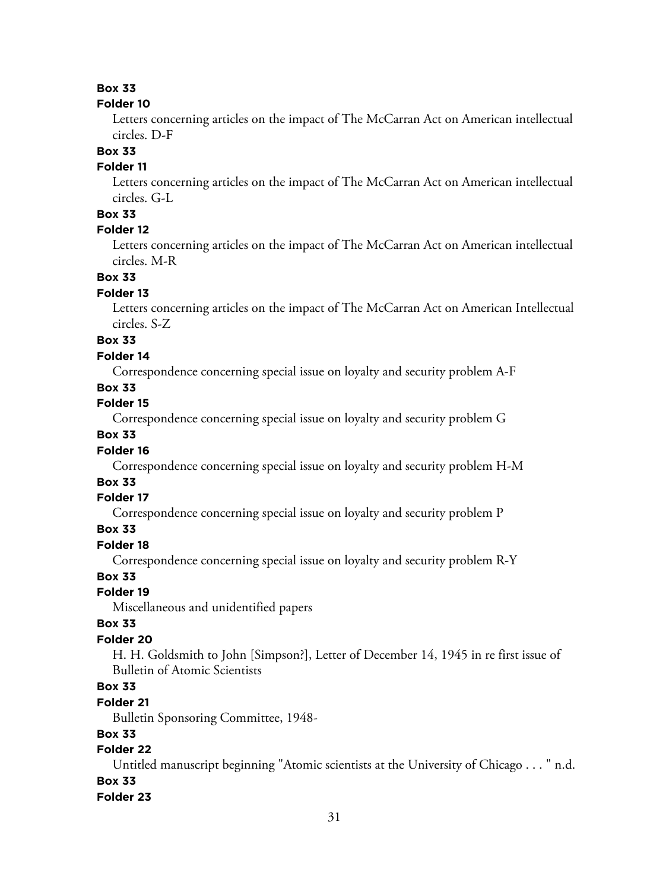#### **Folder 10**

Letters concerning articles on the impact of The McCarran Act on American intellectual circles. D-F

#### **Box 33**

## **Folder 11**

Letters concerning articles on the impact of The McCarran Act on American intellectual circles. G-L

## **Box 33**

## **Folder 12**

Letters concerning articles on the impact of The McCarran Act on American intellectual circles. M-R

## **Box 33**

#### **Folder 13**

Letters concerning articles on the impact of The McCarran Act on American Intellectual circles. S-Z

# **Box 33**

#### **Folder 14**

Correspondence concerning special issue on loyalty and security problem A-F

## **Box 33**

## **Folder 15**

Correspondence concerning special issue on loyalty and security problem G

## **Box 33**

#### **Folder 16**

Correspondence concerning special issue on loyalty and security problem H-M

# **Box 33**

## **Folder 17**

Correspondence concerning special issue on loyalty and security problem P

#### **Box 33**

#### **Folder 18**

Correspondence concerning special issue on loyalty and security problem R-Y

#### **Box 33**

#### **Folder 19**

Miscellaneous and unidentified papers

#### **Box 33**

#### **Folder 20**

H. H. Goldsmith to John [Simpson?], Letter of December 14, 1945 in re first issue of Bulletin of Atomic Scientists

## **Box 33**

#### **Folder 21**

Bulletin Sponsoring Committee, 1948-

## **Box 33**

# **Folder 22**

Untitled manuscript beginning "Atomic scientists at the University of Chicago . . . " n.d. **Box 33**

## **Folder 23**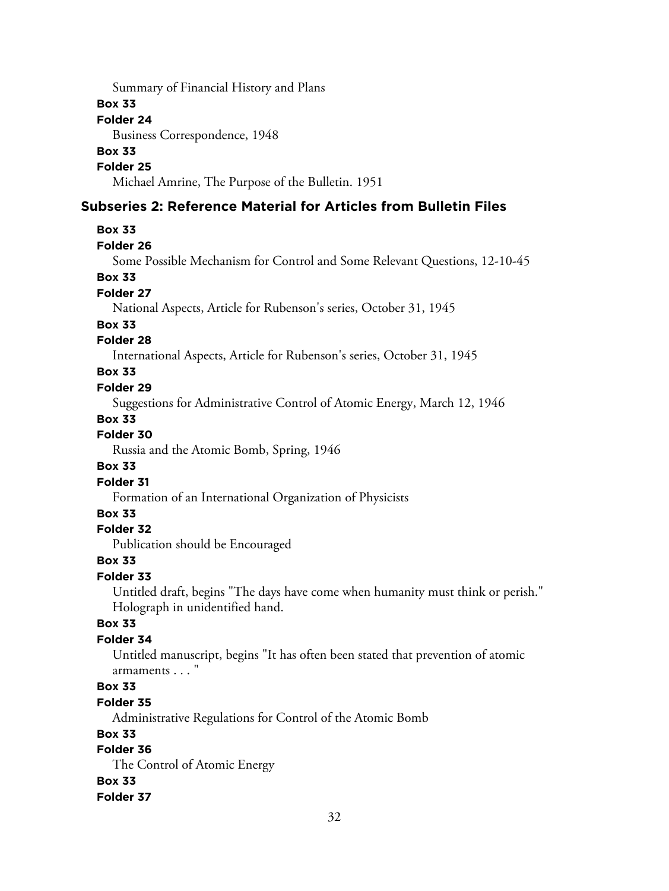Summary of Financial History and Plans

#### **Box 33**

#### **Folder 24**

Business Correspondence, 1948

#### **Box 33**

## **Folder 25**

Michael Amrine, The Purpose of the Bulletin. 1951

# **Subseries 2: Reference Material for Articles from Bulletin Files**

#### **Box 33**

#### **Folder 26**

Some Possible Mechanism for Control and Some Relevant Questions, 12-10-45

#### **Box 33**

#### **Folder 27**

National Aspects, Article for Rubenson's series, October 31, 1945

#### **Box 33**

## **Folder 28**

International Aspects, Article for Rubenson's series, October 31, 1945

## **Box 33**

#### **Folder 29**

Suggestions for Administrative Control of Atomic Energy, March 12, 1946

#### **Box 33**

#### **Folder 30**

Russia and the Atomic Bomb, Spring, 1946

#### **Box 33**

#### **Folder 31**

Formation of an International Organization of Physicists

#### **Box 33**

#### **Folder 32**

Publication should be Encouraged

#### **Box 33**

#### **Folder 33**

Untitled draft, begins "The days have come when humanity must think or perish." Holograph in unidentified hand.

#### **Box 33**

## **Folder 34**

Untitled manuscript, begins "It has often been stated that prevention of atomic armaments . . . "

# **Box 33**

#### **Folder 35**

Administrative Regulations for Control of the Atomic Bomb

## **Box 33**

# **Folder 36**

The Control of Atomic Energy **Box 33 Folder 37**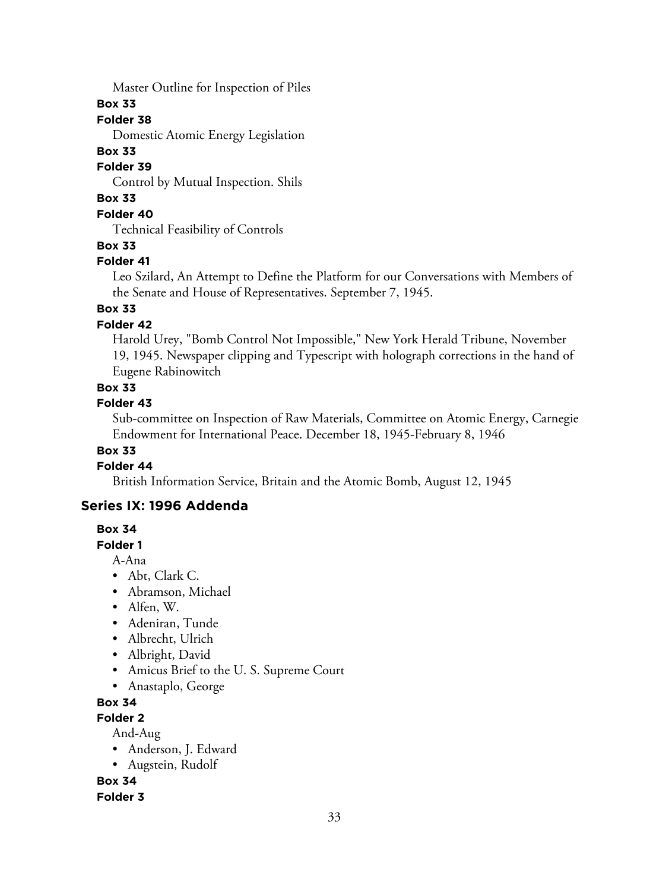Master Outline for Inspection of Piles

**Box 33**

# **Folder 38**

Domestic Atomic Energy Legislation

# **Box 33**

**Folder 39**

Control by Mutual Inspection. Shils

# **Box 33**

**Folder 40**

Technical Feasibility of Controls

# **Box 33**

# **Folder 41**

Leo Szilard, An Attempt to Define the Platform for our Conversations with Members of the Senate and House of Representatives. September 7, 1945.

# **Box 33**

# **Folder 42**

Harold Urey, "Bomb Control Not Impossible," New York Herald Tribune, November 19, 1945. Newspaper clipping and Typescript with holograph corrections in the hand of Eugene Rabinowitch

# **Box 33**

# **Folder 43**

Sub-committee on Inspection of Raw Materials, Committee on Atomic Energy, Carnegie Endowment for International Peace. December 18, 1945-February 8, 1946

# **Box 33**

# **Folder 44**

British Information Service, Britain and the Atomic Bomb, August 12, 1945

# **Series IX: 1996 Addenda**

# **Box 34**

# **Folder 1**

A-Ana

- Abt, Clark C.
- Abramson, Michael
- Alfen, W.
- Adeniran, Tunde
- Albrecht, Ulrich
- Albright, David
- Amicus Brief to the U. S. Supreme Court
- Anastaplo, George

# **Box 34**

# **Folder 2**

And-Aug

- Anderson, J. Edward
- Augstein, Rudolf

**Box 34**

**Folder 3**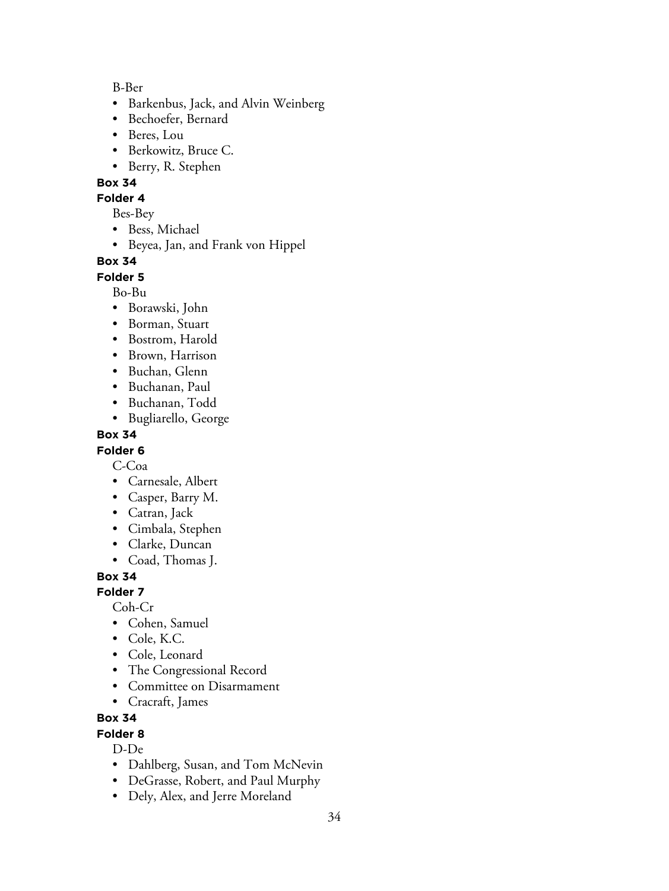B-Ber

- Barkenbus, Jack, and Alvin Weinberg
- Bechoefer, Bernard
- Beres, Lou
- Berkowitz, Bruce C.
- Berry, R. Stephen

## **Box 34**

#### **Folder 4**

Bes-Bey

- Bess, Michael
- Beyea, Jan, and Frank von Hippel

## **Box 34**

**Folder 5**

Bo-Bu

- Borawski, John
- Borman, Stuart
- Bostrom, Harold
- Brown, Harrison
- Buchan, Glenn
- Buchanan, Paul
- Buchanan, Todd
- Bugliarello, George

## **Box 34**

# **Folder 6**

C-Coa

- Carnesale, Albert
- Casper, Barry M.
- Catran, Jack
- Cimbala, Stephen
- Clarke, Duncan
- Coad, Thomas J.

# **Box 34**

**Folder 7**

Coh-Cr

- Cohen, Samuel
- Cole, K.C.
- Cole, Leonard
- The Congressional Record
- Committee on Disarmament
- Cracraft, James

## **Box 34**

## **Folder 8**

D-De

- Dahlberg, Susan, and Tom McNevin
- DeGrasse, Robert, and Paul Murphy
- Dely, Alex, and Jerre Moreland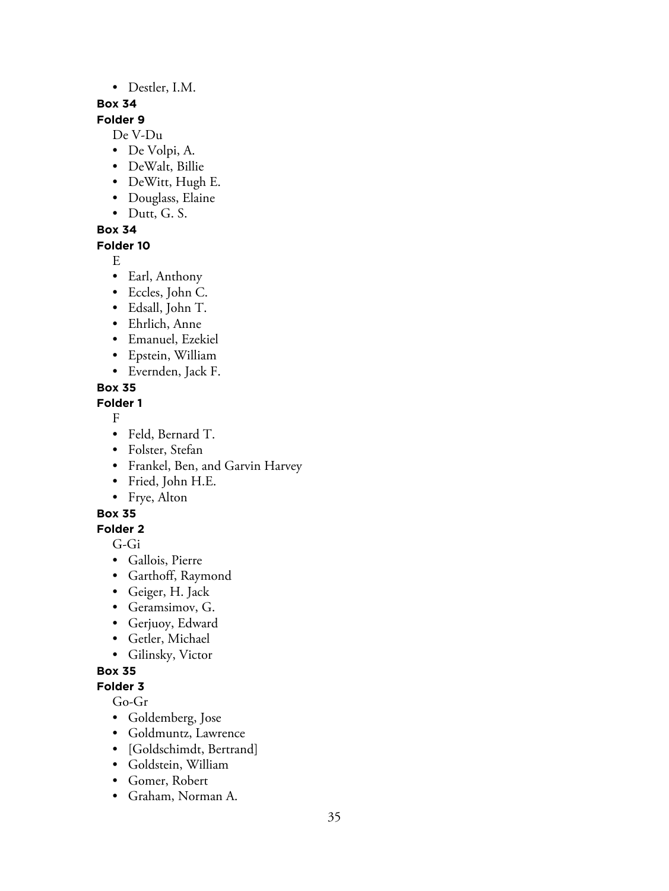• Destler, I.M.

## **Box 34**

## **Folder 9**

De V-Du

- De Volpi, A.
- DeWalt, Billie
- DeWitt, Hugh E.
- Douglass, Elaine
- Dutt, G. S.

**Box 34**

## **Folder 10**

E

- Earl, Anthony
- Eccles, John C.
- Edsall, John T.
- Ehrlich, Anne
- Emanuel, Ezekiel
- Epstein, William
- Evernden, Jack F.

# **Box 35**

# **Folder 1**

F

- Feld, Bernard T.
- Folster, Stefan
- Frankel, Ben, and Garvin Harvey
- Fried, John H.E.
- Frye, Alton

# **Box 35**

# **Folder 2**

G-Gi

- Gallois, Pierre
- Garthoff, Raymond
- Geiger, H. Jack
- Geramsimov, G.
- Gerjuoy, Edward
- Getler, Michael
- Gilinsky, Victor

# **Box 35**

# **Folder 3**

Go-Gr

- Goldemberg, Jose
- Goldmuntz, Lawrence
- [Goldschimdt, Bertrand]
- Goldstein, William
- Gomer, Robert
- Graham, Norman A.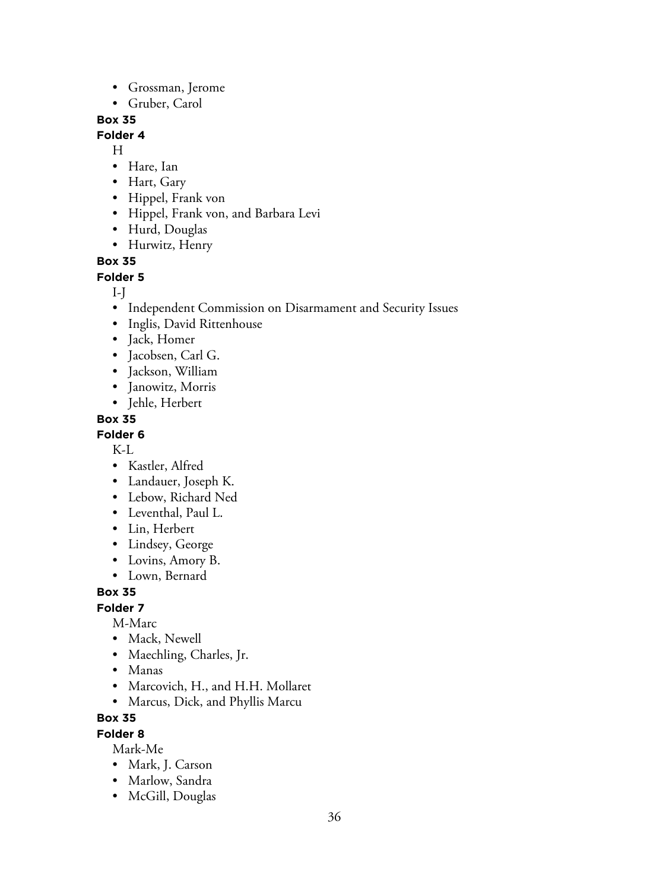- Grossman, Jerome
- Gruber, Carol

#### **Folder 4**

H

- Hare, Ian
- Hart, Gary
- Hippel, Frank von
- Hippel, Frank von, and Barbara Levi
- Hurd, Douglas
- Hurwitz, Henry

## **Box 35**

**Folder 5**

#### I-J

- Independent Commission on Disarmament and Security Issues
- Inglis, David Rittenhouse
- Jack, Homer
- Jacobsen, Carl G.
- Jackson, William
- Janowitz, Morris
- Jehle, Herbert

#### **Box 35**

#### **Folder 6**

K-L

- Kastler, Alfred
- Landauer, Joseph K.
- Lebow, Richard Ned
- Leventhal, Paul L.
- Lin, Herbert
- Lindsey, George
- Lovins, Amory B.
- Lown, Bernard

## **Box 35**

#### **Folder 7**

M-Marc

- Mack, Newell
- Maechling, Charles, Jr.
- Manas
- Marcovich, H., and H.H. Mollaret
- Marcus, Dick, and Phyllis Marcu

## **Box 35**

#### **Folder 8**

Mark-Me

- Mark, J. Carson
- Marlow, Sandra
- McGill, Douglas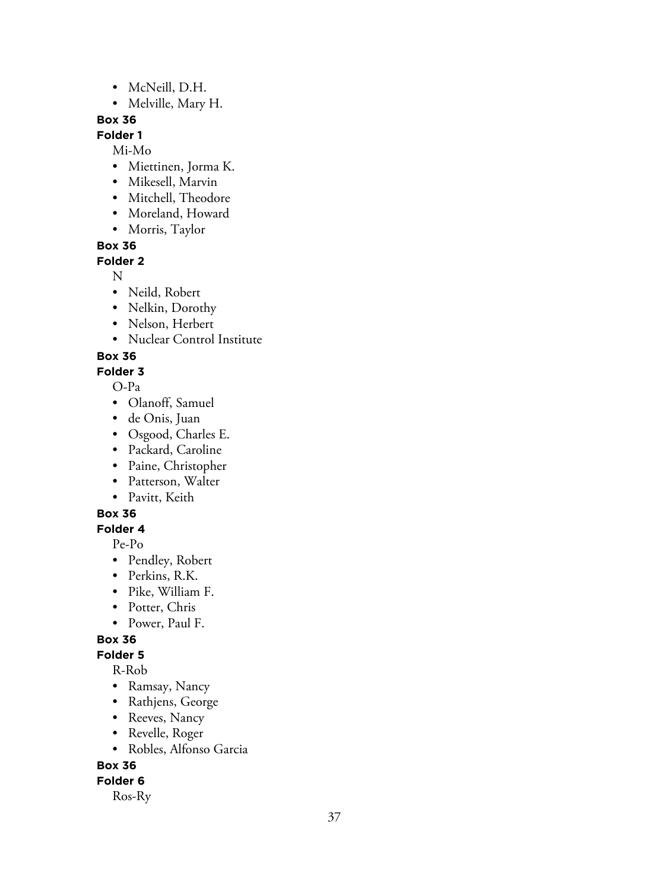- McNeill, D.H.
- Melville, Mary H.

# **Folder 1**

Mi-Mo

- Miettinen, Jorma K.
- Mikesell, Marvin
- Mitchell, Theodore
- Moreland, Howard
- Morris, Taylor

**Box 36**

# **Folder 2**

N

- Neild, Robert
- Nelkin, Dorothy
- Nelson, Herbert
- Nuclear Control Institute

# **Box 36**

**Folder 3**

O-Pa

- Olanoff, Samuel
- de Onis, Juan
- Osgood, Charles E.
- Packard, Caroline
- Paine, Christopher
- Patterson, Walter
- Pavitt, Keith

# **Box 36**

# **Folder 4**

Pe-Po

- Pendley, Robert
- Perkins, R.K.
- Pike, William F.
- Potter, Chris
- Power, Paul F.

# **Box 36**

**Folder 5**

R-Rob

- Ramsay, Nancy
- Rathjens, George
- Reeves, Nancy
- Revelle, Roger
- Robles, Alfonso Garcia

# **Box 36**

# **Folder 6**

Ros-Ry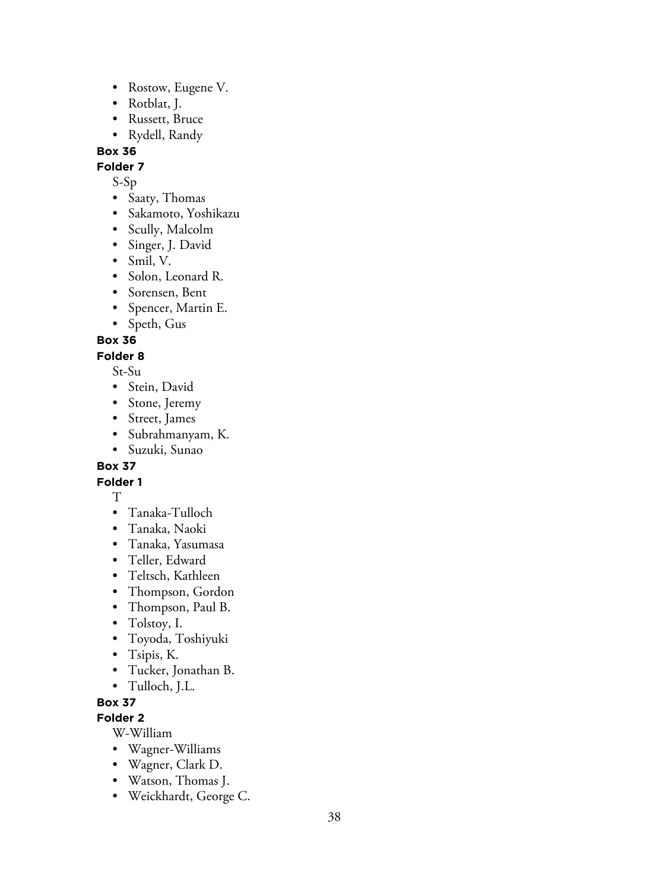- Rostow, Eugene V.
- Rotblat, J.
- Russett, Bruce
- Rydell, Randy

**Folder 7**

- S-Sp
- Saaty, Thomas
- Sakamoto, Yoshikazu
- Scully, Malcolm
- Singer, J. David
- Smil, V.
- Solon, Leonard R.
- Sorensen, Bent
- Spencer, Martin E.
- Speth, Gus

**Box 36**

# **Folder 8**

St-Su

- Stein, David
- Stone, Jeremy
- Street, James
- Subrahmanyam, K.
- Suzuki, Sunao

# **Box 37**

**Folder 1**

- T• Tanaka-Tulloch
- Tanaka, Naoki
- Tanaka, Yasumasa
- Teller, Edward
- Teltsch, Kathleen
- Thompson, Gordon
- Thompson, Paul B.
- Tolstoy, I.
- Toyoda, Toshiyuki
- Tsipis, K.
- Tucker, Jonathan B.
- Tulloch, J.L.

# **Box 37**

**Folder 2**

W-William

- Wagner-Williams
- Wagner, Clark D.
- Watson, Thomas J.
- Weickhardt, George C.